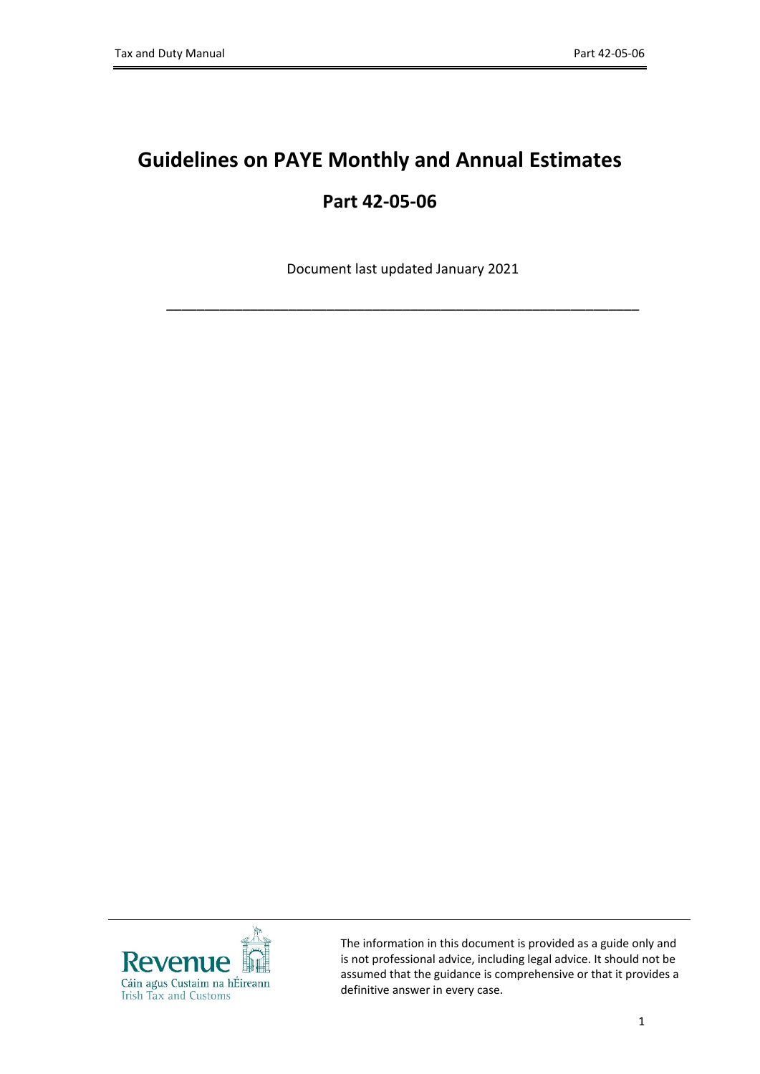# **Guidelines on PAYE Monthly and Annual Estimates Part 42-05-06**

Document last updated January 2021

\_\_\_\_\_\_\_\_\_\_\_\_\_\_\_\_\_\_\_\_\_\_\_\_\_\_\_\_\_\_\_\_\_\_\_\_\_\_\_\_\_\_\_\_\_\_\_\_\_\_\_\_\_\_\_\_\_\_\_\_\_\_



The information in this document is provided as a guide only and is not professional advice, including legal advice. It should not be assumed that the guidance is comprehensive or that it provides a definitive answer in every case.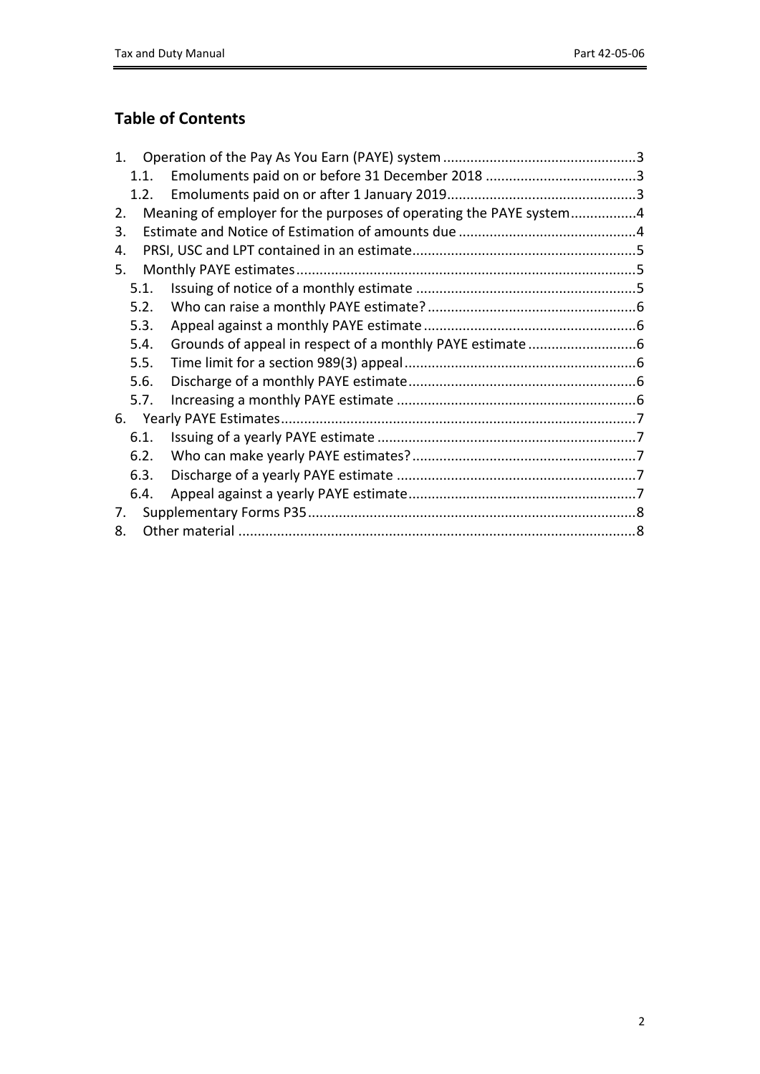## **Table of Contents**

| Meaning of employer for the purposes of operating the PAYE system4 |
|--------------------------------------------------------------------|
|                                                                    |
|                                                                    |
|                                                                    |
|                                                                    |
|                                                                    |
|                                                                    |
|                                                                    |
|                                                                    |
|                                                                    |
|                                                                    |
|                                                                    |
|                                                                    |
|                                                                    |
|                                                                    |
|                                                                    |
|                                                                    |
|                                                                    |
|                                                                    |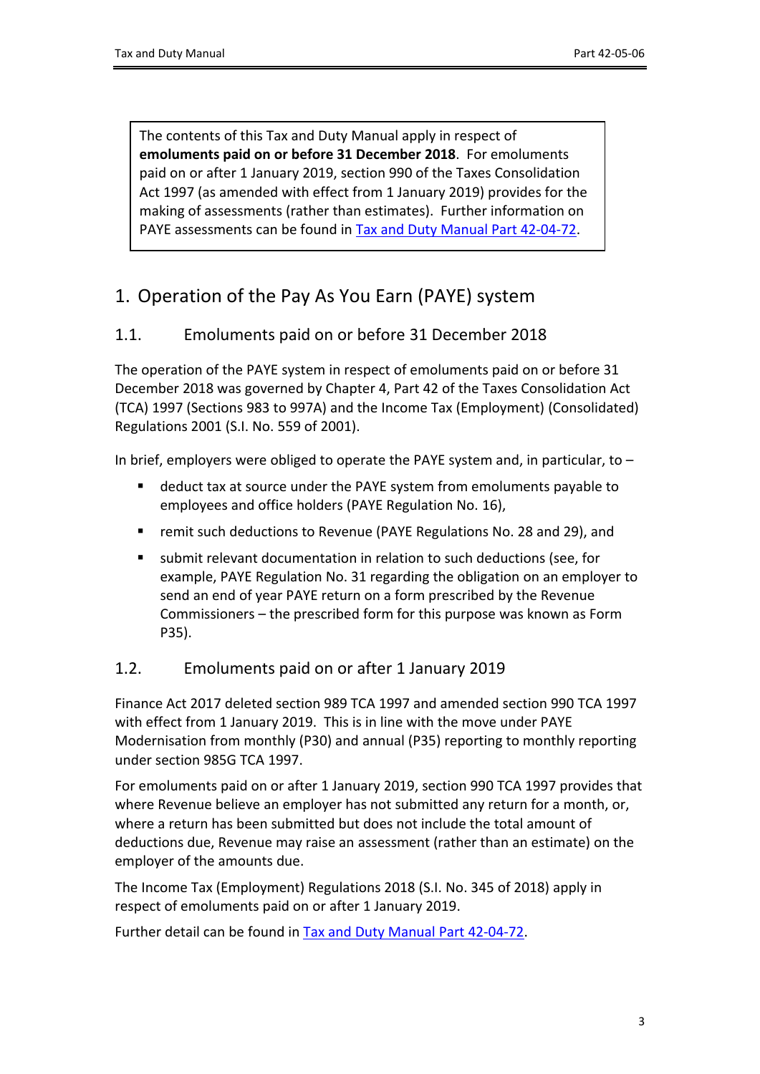The contents of this Tax and Duty Manual apply in respect of **emoluments paid on or before 31 December 2018**. For emoluments paid on or after 1 January 2019, section 990 of the Taxes Consolidation Act 1997 (as amended with effect from 1 January 2019) provides for the making of assessments (rather than estimates). Further information on PAYE assessments can be found in [Tax](https://www.revenue.ie/en/tax-professionals/tdm/income-tax-capital-gains-tax-corporation-tax/part-42/42-04-72.pdf) [and](https://www.revenue.ie/en/tax-professionals/tdm/income-tax-capital-gains-tax-corporation-tax/part-42/42-04-72.pdf) [Duty](https://www.revenue.ie/en/tax-professionals/tdm/income-tax-capital-gains-tax-corporation-tax/part-42/42-04-72.pdf) [Manual](https://www.revenue.ie/en/tax-professionals/tdm/income-tax-capital-gains-tax-corporation-tax/part-42/42-04-72.pdf) [Part](https://www.revenue.ie/en/tax-professionals/tdm/income-tax-capital-gains-tax-corporation-tax/part-42/42-04-72.pdf) [42-04-72.](https://www.revenue.ie/en/tax-professionals/tdm/income-tax-capital-gains-tax-corporation-tax/part-42/42-04-72.pdf)

## <span id="page-2-0"></span>1. Operation of the Pay As You Earn (PAYE) system

### <span id="page-2-1"></span>1.1. Emoluments paid on or before 31 December 2018

The operation of the PAYE system in respect of emoluments paid on or before 31 December 2018 was governed by Chapter 4, Part 42 of the Taxes Consolidation Act (TCA) 1997 (Sections 983 to 997A) and the Income Tax (Employment) (Consolidated) Regulations 2001 (S.I. No. 559 of 2001).

In brief, employers were obliged to operate the PAYE system and, in particular, to –

- deduct tax at source under the PAYE system from emoluments payable to employees and office holders (PAYE Regulation No. 16),
- remit such deductions to Revenue (PAYE Regulations No. 28 and 29), and
- submit relevant documentation in relation to such deductions (see, for example, PAYE Regulation No. 31 regarding the obligation on an employer to send an end of year PAYE return on a form prescribed by the Revenue Commissioners – the prescribed form for this purpose was known as Form P35).

#### <span id="page-2-2"></span>1.2. Emoluments paid on or after 1 January 2019

Finance Act 2017 deleted section 989 TCA 1997 and amended section 990 TCA 1997 with effect from 1 January 2019. This is in line with the move under PAYE Modernisation from monthly (P30) and annual (P35) reporting to monthly reporting under section 985G TCA 1997.

For emoluments paid on or after 1 January 2019, section 990 TCA 1997 provides that where Revenue believe an employer has not submitted any return for a month, or, where a return has been submitted but does not include the total amount of deductions due, Revenue may raise an assessment (rather than an estimate) on the employer of the amounts due.

The Income Tax (Employment) Regulations 2018 (S.I. No. 345 of 2018) apply in respect of emoluments paid on or after 1 January 2019.

Further detail can be found in [Tax](https://www.revenue.ie/en/tax-professionals/tdm/income-tax-capital-gains-tax-corporation-tax/part-42/42-04-72.pdf) [and](https://www.revenue.ie/en/tax-professionals/tdm/income-tax-capital-gains-tax-corporation-tax/part-42/42-04-72.pdf) [Duty](https://www.revenue.ie/en/tax-professionals/tdm/income-tax-capital-gains-tax-corporation-tax/part-42/42-04-72.pdf) [Manual](https://www.revenue.ie/en/tax-professionals/tdm/income-tax-capital-gains-tax-corporation-tax/part-42/42-04-72.pdf) [Part](https://www.revenue.ie/en/tax-professionals/tdm/income-tax-capital-gains-tax-corporation-tax/part-42/42-04-72.pdf) [42-04-72.](https://www.revenue.ie/en/tax-professionals/tdm/income-tax-capital-gains-tax-corporation-tax/part-42/42-04-72.pdf)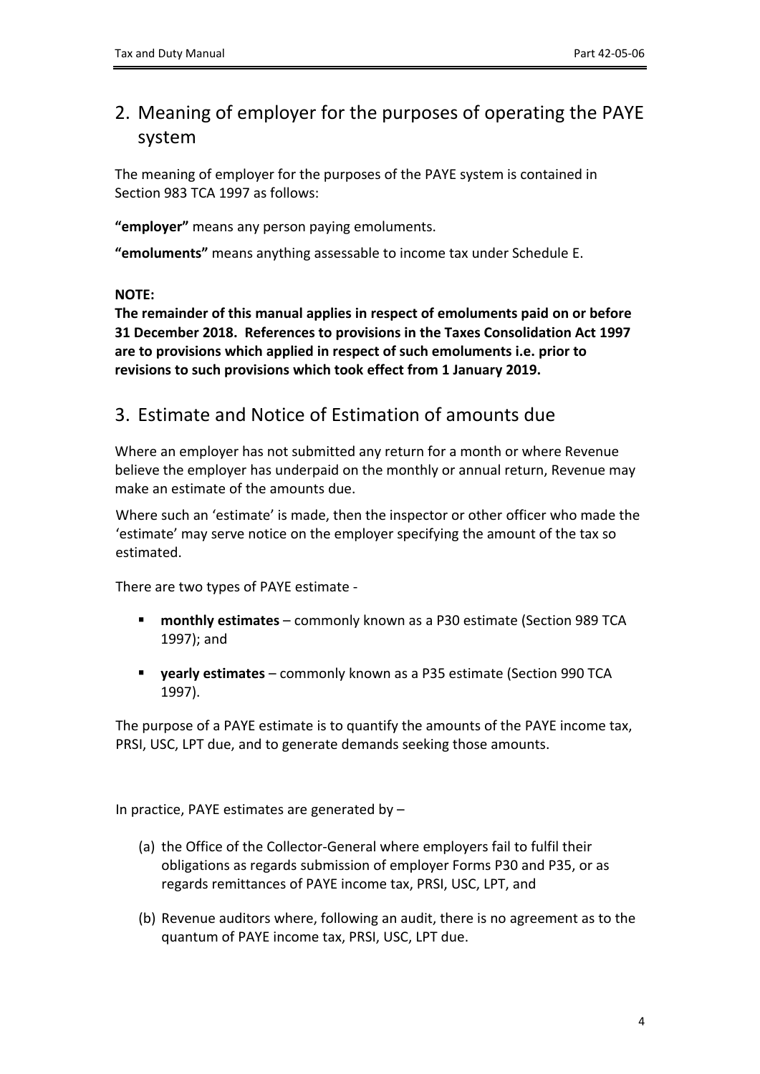## <span id="page-3-0"></span>2. Meaning of employer for the purposes of operating the PAYE system

The meaning of employer for the purposes of the PAYE system is contained in Section 983 TCA 1997 as follows:

**"employer"** means any person paying emoluments.

**"emoluments"** means anything assessable to income tax under Schedule E.

#### **NOTE:**

**The remainder of this manual applies in respect of emoluments paid on or before 31 December 2018. References to provisions in the Taxes Consolidation Act 1997 are to provisions which applied in respect of such emoluments i.e. prior to revisions to such provisions which took effect from 1 January 2019.** 

## <span id="page-3-1"></span>3. Estimate and Notice of Estimation of amounts due

Where an employer has not submitted any return for a month or where Revenue believe the employer has underpaid on the monthly or annual return, Revenue may make an estimate of the amounts due.

Where such an 'estimate' is made, then the inspector or other officer who made the 'estimate' may serve notice on the employer specifying the amount of the tax so estimated.

There are two types of PAYE estimate -

- **monthly estimates** commonly known as a P30 estimate (Section 989 TCA 1997); and
- **yearly estimates** commonly known as a P35 estimate (Section 990 TCA 1997).

The purpose of a PAYE estimate is to quantify the amounts of the PAYE income tax, PRSI, USC, LPT due, and to generate demands seeking those amounts.

In practice, PAYE estimates are generated by –

- (a) the Office of the Collector-General where employers fail to fulfil their obligations as regards submission of employer Forms P30 and P35, or as regards remittances of PAYE income tax, PRSI, USC, LPT, and
- (b) Revenue auditors where, following an audit, there is no agreement as to the quantum of PAYE income tax, PRSI, USC, LPT due.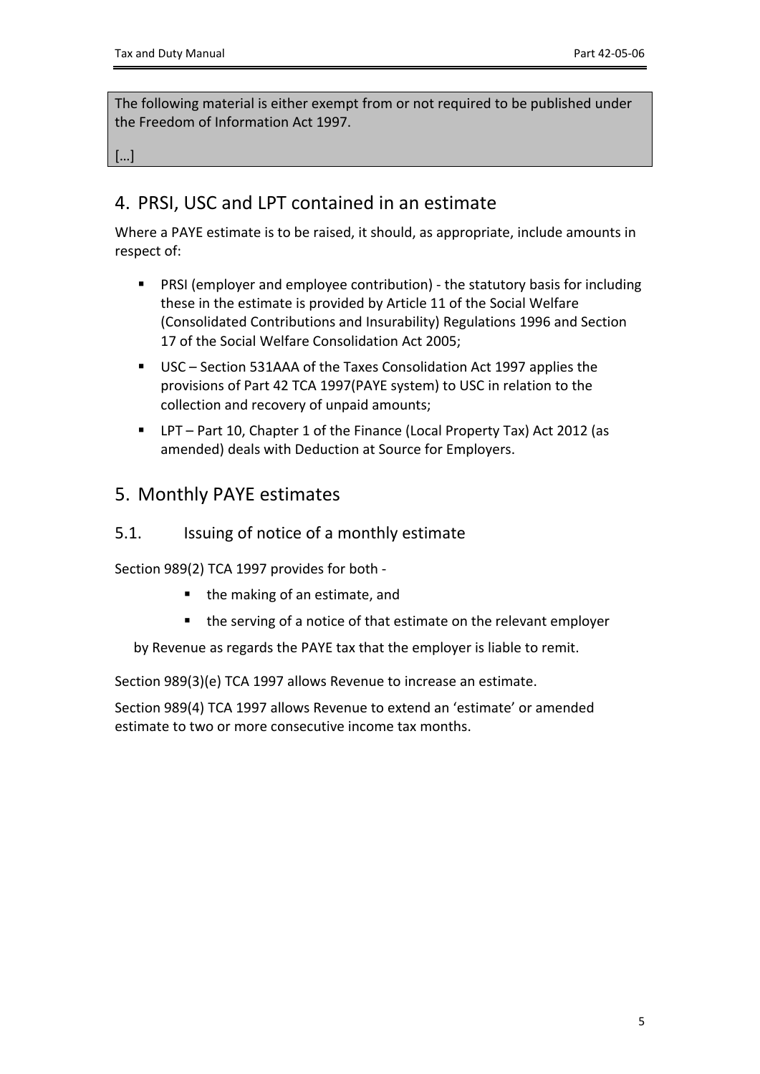The following material is either exempt from or not required to be published under the Freedom of Information Act 1997.

<span id="page-4-0"></span>[…]

## 4. PRSI, USC and LPT contained in an estimate

Where a PAYE estimate is to be raised, it should, as appropriate, include amounts in respect of:

- PRSI (employer and employee contribution) the statutory basis for including these in the estimate is provided by Article 11 of the Social Welfare (Consolidated Contributions and Insurability) Regulations 1996 and Section 17 of the Social Welfare Consolidation Act 2005;
- USC Section 531AAA of the Taxes Consolidation Act 1997 applies the provisions of Part 42 TCA 1997(PAYE system) to USC in relation to the collection and recovery of unpaid amounts;
- LPT Part 10, Chapter 1 of the Finance (Local Property Tax) Act 2012 (as amended) deals with Deduction at Source for Employers.

### <span id="page-4-1"></span>5. Monthly PAYE estimates

#### <span id="page-4-2"></span>5.1. Issuing of notice of a monthly estimate

Section 989(2) TCA 1997 provides for both -

- the making of an estimate, and
- **the serving of a notice of that estimate on the relevant employer**

by Revenue as regards the PAYE tax that the employer is liable to remit.

Section 989(3)(e) TCA 1997 allows Revenue to increase an estimate.

Section 989(4) TCA 1997 allows Revenue to extend an 'estimate' or amended estimate to two or more consecutive income tax months.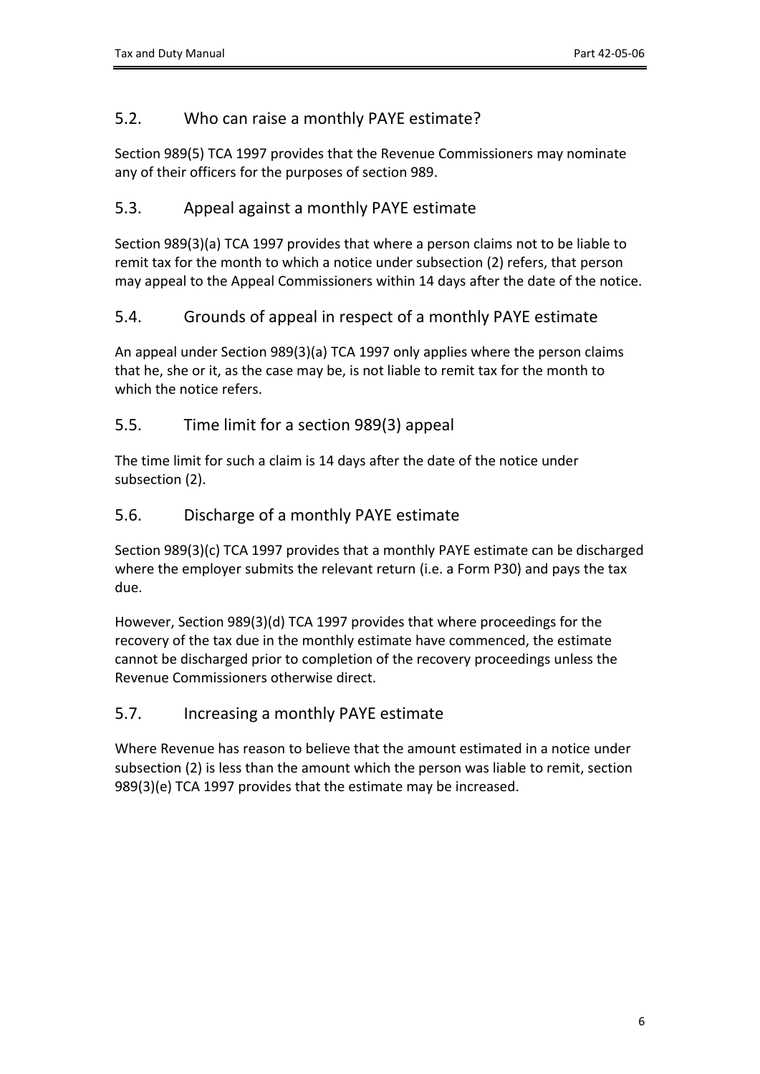#### <span id="page-5-0"></span>5.2. Who can raise a monthly PAYE estimate?

Section 989(5) TCA 1997 provides that the Revenue Commissioners may nominate any of their officers for the purposes of section 989.

#### <span id="page-5-1"></span>5.3. Appeal against a monthly PAYE estimate

Section 989(3)(a) TCA 1997 provides that where a person claims not to be liable to remit tax for the month to which a notice under subsection (2) refers, that person may appeal to the Appeal Commissioners within 14 days after the date of the notice.

#### <span id="page-5-2"></span>5.4. Grounds of appeal in respect of a monthly PAYE estimate

An appeal under Section 989(3)(a) TCA 1997 only applies where the person claims that he, she or it, as the case may be, is not liable to remit tax for the month to which the notice refers.

#### <span id="page-5-3"></span>5.5. Time limit for a section 989(3) appeal

The time limit for such a claim is 14 days after the date of the notice under subsection (2).

#### <span id="page-5-4"></span>5.6. Discharge of a monthly PAYE estimate

Section 989(3)(c) TCA 1997 provides that a monthly PAYE estimate can be discharged where the employer submits the relevant return (i.e. a Form P30) and pays the tax due.

However, Section 989(3)(d) TCA 1997 provides that where proceedings for the recovery of the tax due in the monthly estimate have commenced, the estimate cannot be discharged prior to completion of the recovery proceedings unless the Revenue Commissioners otherwise direct.

#### <span id="page-5-5"></span>5.7. Increasing a monthly PAYE estimate

Where Revenue has reason to believe that the amount estimated in a notice under subsection (2) is less than the amount which the person was liable to remit, section 989(3)(e) TCA 1997 provides that the estimate may be increased.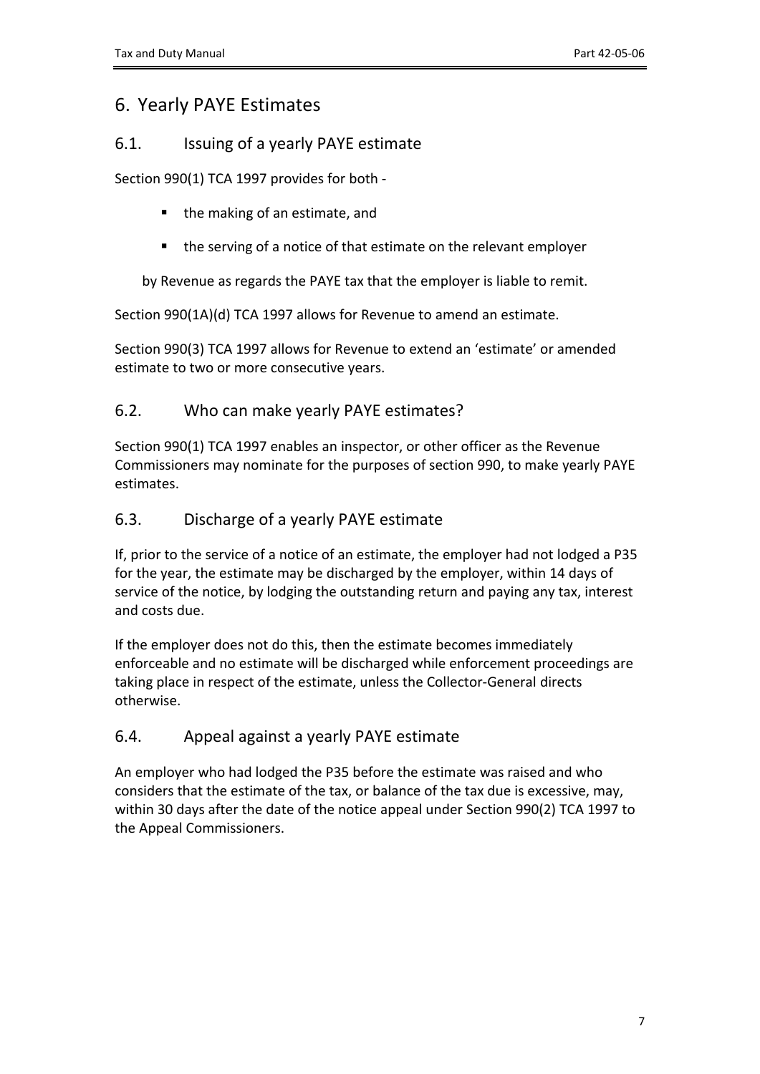## <span id="page-6-0"></span>6. Yearly PAYE Estimates

#### <span id="page-6-1"></span>6.1. Issuing of a yearly PAYE estimate

Section 990(1) TCA 1997 provides for both -

- the making of an estimate, and
- the serving of a notice of that estimate on the relevant employer

by Revenue as regards the PAYE tax that the employer is liable to remit.

Section 990(1A)(d) TCA 1997 allows for Revenue to amend an estimate.

Section 990(3) TCA 1997 allows for Revenue to extend an 'estimate' or amended estimate to two or more consecutive years.

#### <span id="page-6-2"></span>6.2. Who can make yearly PAYE estimates?

Section 990(1) TCA 1997 enables an inspector, or other officer as the Revenue Commissioners may nominate for the purposes of section 990, to make yearly PAYE estimates.

#### <span id="page-6-3"></span>6.3. Discharge of a yearly PAYE estimate

If, prior to the service of a notice of an estimate, the employer had not lodged a P35 for the year, the estimate may be discharged by the employer, within 14 days of service of the notice, by lodging the outstanding return and paying any tax, interest and costs due.

If the employer does not do this, then the estimate becomes immediately enforceable and no estimate will be discharged while enforcement proceedings are taking place in respect of the estimate, unless the Collector-General directs otherwise.

#### <span id="page-6-4"></span>6.4. Appeal against a yearly PAYE estimate

An employer who had lodged the P35 before the estimate was raised and who considers that the estimate of the tax, or balance of the tax due is excessive, may, within 30 days after the date of the notice appeal under Section 990(2) TCA 1997 to the Appeal Commissioners.